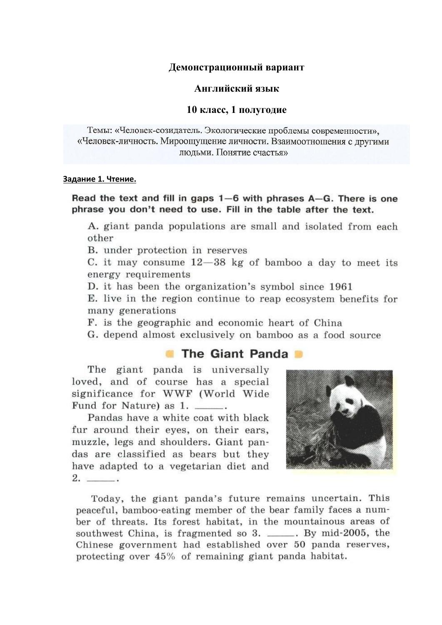#### Демонстрационный вариант

#### Английский язык

#### 10 класс, 1 полугодие

Темы: «Человек-созидатель. Экологические проблемы современности». «Человек-личность. Мироощущение личности. Взаимоотношения с другими люльми. Понятие счастья»

#### Задание 1. Чтение.

## Read the text and fill in gaps  $1-6$  with phrases  $A-G$ . There is one phrase you don't need to use. Fill in the table after the text.

A. giant panda populations are small and isolated from each other

B. under protection in reserves

C. it may consume  $12-38$  kg of bamboo a day to meet its energy requirements

D. it has been the organization's symbol since 1961

E. live in the region continue to reap ecosystem benefits for many generations

F. is the geographic and economic heart of China

G. depend almost exclusively on bamboo as a food source

# The Giant Panda

The giant panda is universally loved, and of course has a special significance for WWF (World Wide Fund for Nature) as 1.

Pandas have a white coat with black fur around their eyes, on their ears, muzzle, legs and shoulders. Giant pandas are classified as bears but they have adapted to a vegetarian diet and  $2.$ 



Today, the giant panda's future remains uncertain. This peaceful, bamboo-eating member of the bear family faces a number of threats. Its forest habitat, in the mountainous areas of southwest China, is fragmented so 3. \_\_\_\_\_. By mid-2005, the Chinese government had established over 50 panda reserves, protecting over 45% of remaining giant panda habitat.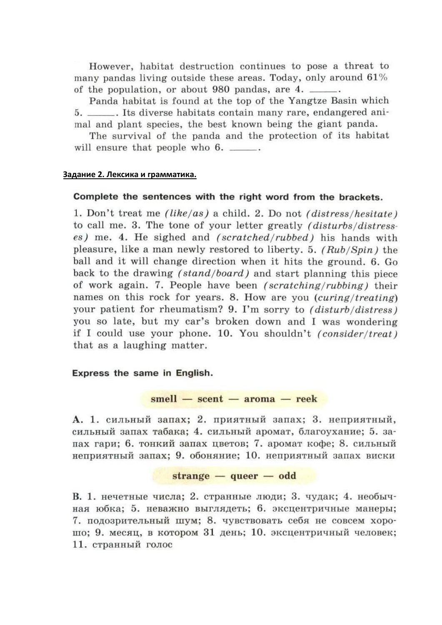However, habitat destruction continues to pose a threat to many pandas living outside these areas. Today, only around 61% of the population, or about 980 pandas, are 4.

Panda habitat is found at the top of the Yangtze Basin which 5. \_\_\_\_\_\_. Its diverse habitats contain many rare, endangered animal and plant species, the best known being the giant panda.

The survival of the panda and the protection of its habitat will ensure that people who 6. \_\_\_\_\_.

#### Задание 2. Лексика и грамматика.

## Complete the sentences with the right word from the brackets.

1. Don't treat me (like/as) a child. 2. Do not (distress/hesitate) to call me. 3. The tone of your letter greatly *(disturbs/distress*es) me. 4. He sighed and *(scratched/rubbed)* his hands with pleasure, like a man newly restored to liberty, 5, (Rub/Spin) the ball and it will change direction when it hits the ground, 6, Go back to the drawing *(stand/board)* and start planning this piece of work again. 7. People have been *(scratching/rubbing)* their names on this rock for years. 8. How are you *(curing/treating)* your patient for rheumatism? 9. I'm sorry to (disturb/distress) you so late, but my car's broken down and I was wondering if I could use your phone. 10. You shouldn't (consider/treat) that as a laughing matter.

## Express the same in English.

# $small - *sec*nt - *ar*oma - *re*ek$

А. 1. сильный запах; 2. приятный запах; 3. неприятный, сильный запах табака; 4. сильный аромат, благоухание; 5. запах гари: 6. тонкий запах цветов: 7. аромат кофе; 8. сильный неприятный запах; 9. обоняние; 10. неприятный запах виски

## $strange - queen - odd$

В. 1. нечетные числа; 2. странные люди; 3. чудак; 4. необычная юбка; 5. неважно выглядеть; 6. эксцентричные манеры; 7. подозрительный шум; 8. чувствовать себя не совсем хорошо; 9. месяц, в котором 31 день; 10. эксцентричный человек; 11. странный голос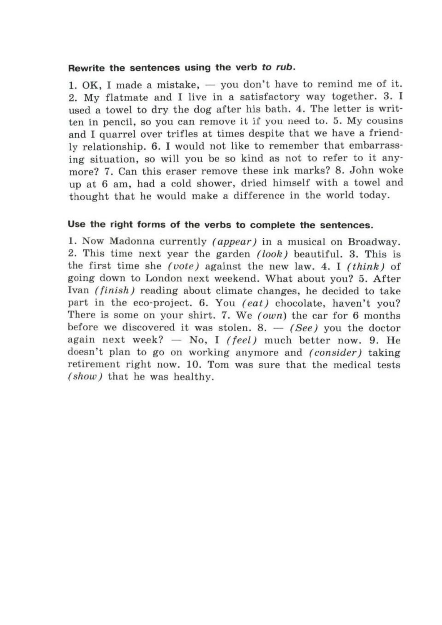# Rewrite the sentences using the verb to rub.

1. OK, I made a mistake, - you don't have to remind me of it. 2. My flatmate and I live in a satisfactory way together. 3. I used a towel to dry the dog after his bath. 4. The letter is written in pencil, so you can remove it if you need to. 5. My cousins and I quarrel over trifles at times despite that we have a friendly relationship. 6. I would not like to remember that embarrassing situation, so will you be so kind as not to refer to it anymore? 7. Can this eraser remove these ink marks? 8. John woke up at 6 am, had a cold shower, dried himself with a towel and thought that he would make a difference in the world today.

# Use the right forms of the verbs to complete the sentences.

1. Now Madonna currently (appear) in a musical on Broadway. 2. This time next year the garden (look) beautiful. 3. This is the first time she *(vote)* against the new law, 4. I *(think)* of going down to London next weekend. What about you? 5. After Ivan *(finish)* reading about climate changes, he decided to take part in the eco-project. 6. You (eat) chocolate, haven't you? There is some on your shirt. 7. We (own) the car for 6 months before we discovered it was stolen. 8.  $-$  (See) you the doctor again next week?  $-$  No, I (feel) much better now. 9. He doesn't plan to go on working anymore and *(consider)* taking retirement right now. 10. Tom was sure that the medical tests *(show)* that he was healthy.